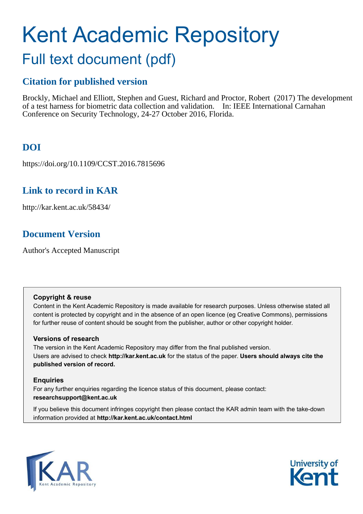# Kent Academic Repository

# Full text document (pdf)

## **Citation for published version**

Brockly, Michael and Elliott, Stephen and Guest, Richard and Proctor, Robert (2017) The development of a test harness for biometric data collection and validation. In: IEEE International Carnahan Conference on Security Technology, 24-27 October 2016, Florida.

## **DOI**

https://doi.org/10.1109/CCST.2016.7815696

## **Link to record in KAR**

http://kar.kent.ac.uk/58434/

### **Document Version**

Author's Accepted Manuscript

#### **Copyright & reuse**

Content in the Kent Academic Repository is made available for research purposes. Unless otherwise stated all content is protected by copyright and in the absence of an open licence (eg Creative Commons), permissions for further reuse of content should be sought from the publisher, author or other copyright holder.

#### **Versions of research**

The version in the Kent Academic Repository may differ from the final published version. Users are advised to check **http://kar.kent.ac.uk** for the status of the paper. **Users should always cite the published version of record.**

#### **Enquiries**

For any further enquiries regarding the licence status of this document, please contact: **researchsupport@kent.ac.uk**

If you believe this document infringes copyright then please contact the KAR admin team with the take-down information provided at **http://kar.kent.ac.uk/contact.html**



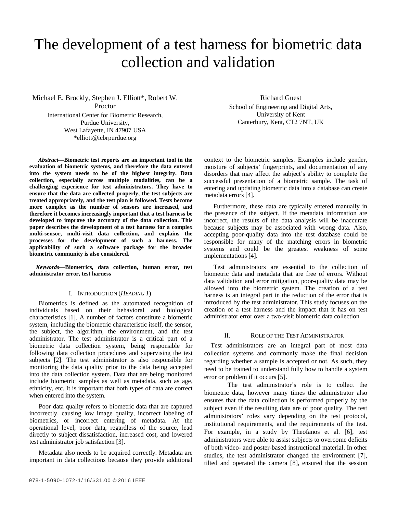## The development of a test harness for biometric data collection and validation

Michael E. Brockly, Stephen J. Elliott\*, Robert W.

Proctor

International Center for Biometric Research, Purdue University, West Lafayette, IN 47907 USA \*elliott@icbrpurdue.org

*Abstract***—Biometric test reports are an important tool in the evaluation of biometric systems, and therefore the data entered into the system needs to be of the highest integrity. Data collection, especially across multiple modalities, can be a challenging experience for test administrators. They have to ensure that the data are collected properly, the test subjects are treated appropriately, and the test plan is followed. Tests become more complex as the number of sensors are increased, and therefore it becomes increasingly important that a test harness be developed to improve the accuracy of the data collection. This paper describes the development of a test harness for a complex multi-sensor, multi-visit data collection, and explains the processes for the development of such a harness. The applicability of such a software package for the broader biometric community is also considered.**

*Keywords***—Biometrics, data collection, human error, test administrator error, test harness**

#### I. INTRODUCTION (*HEADING 1*)

Biometrics is defined as the automated recognition of individuals based on their behavioral and biological characteristics [1]. A number of factors constitute a biometric system, including the biometric characteristic itself, the sensor, the subject, the algorithm, the environment, and the test administrator. The test administrator is a critical part of a biometric data collection system, being responsible for following data collection procedures and supervising the test subjects [2]. The test administrator is also responsible for monitoring the data quality prior to the data being accepted into the data collection system. Data that are being monitored include biometric samples as well as metadata, such as age, ethnicity, etc. It is important that both types of data are correct when entered into the system.

Poor data quality refers to biometric data that are captured incorrectly, causing low image quality, incorrect labeling of biometrics, or incorrect entering of metadata. At the operational level, poor data, regardless of the source, lead directly to subject dissatisfaction, increased cost, and lowered test administrator job satisfaction [3].

Metadata also needs to be acquired correctly. Metadata are important in data collections because they provide additional

Richard Guest School of Engineering and Digital Arts, University of Kent Canterbury, Kent, CT2 7NT, UK

context to the biometric samples. Examples include gender, moisture of subjects' fingerprints, and documentation of any disorders that may affect the subject's ability to complete the successful presentation of a biometric sample. The task of entering and updating biometric data into a database can create metadata errors [4].

Furthermore, these data are typically entered manually in the presence of the subject. If the metadata information are incorrect, the results of the data analysis will be inaccurate because subjects may be associated with wrong data. Also, accepting poor-quality data into the test database could be responsible for many of the matching errors in biometric systems and could be the greatest weakness of some implementations [4].

Test administrators are essential to the collection of biometric data and metadata that are free of errors. Without data validation and error mitigation, poor-quality data may be allowed into the biometric system. The creation of a test harness is an integral part in the reduction of the error that is introduced by the test administrator. This study focuses on the creation of a test harness and the impact that it has on test administrator error over a two-visit biometric data collection

#### II. ROLE OF THE TEST ADMINISTRATOR

Test administrators are an integral part of most data collection systems and commonly make the final decision regarding whether a sample is accepted or not. As such, they need to be trained to understand fully how to handle a system error or problem if it occurs [5].

The test administrator's role is to collect the biometric data, however many times the administrator also ensures that the data collection is performed properly by the subject even if the resulting data are of poor quality. The test administrators' roles vary depending on the test protocol, institutional requirements, and the requirements of the test. For example, in a study by Theofanos et al. [6], test administrators were able to assist subjects to overcome deficits of both video- and poster-based instructional material. In other studies, the test administrator changed the environment [7], tilted and operated the camera [8], ensured that the session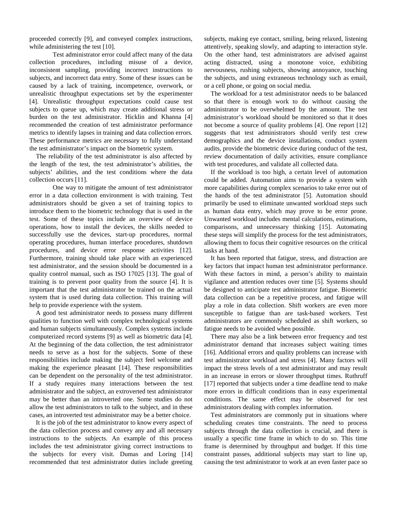proceeded correctly [9], and conveyed complex instructions, while administering the test [10].

Test administrator error could affect many of the data collection procedures, including misuse of a device, inconsistent sampling, providing incorrect instructions to subjects, and incorrect data entry. Some of these issues can be caused by a lack of training, incompetence, overwork, or unrealistic throughput expectations set by the experimenter [4]. Unrealistic throughput expectations could cause test subjects to queue up, which may create additional stress or burden on the test administrator. Hicklin and Khanna [4] recommended the creation of test administrator performance metrics to identify lapses in training and data collection errors. These performance metrics are necessary to fully understand the test administrator's impact on the biometric system.

The reliability of the test administrator is also affected by the length of the test, the test administrator's abilities, the subjects' abilities, and the test conditions where the data collection occurs [11].

One way to mitigate the amount of test administrator error in a data collection environment is with training. Test administrators should be given a set of training topics to introduce them to the biometric technology that is used in the test. Some of these topics include an overview of device operations, how to install the devices, the skills needed to successfully use the devices, start-up procedures, normal operating procedures, human interface procedures, shutdown procedures, and device error response activities [12]. Furthermore, training should take place with an experienced test administrator, and the session should be documented in a quality control manual, such as ISO 17025 [13]. The goal of training is to prevent poor quality from the source [4]. It is important that the test administrator be trained on the actual system that is used during data collection. This training will help to provide experience with the system.

A good test administrator needs to possess many different qualities to function well with complex technological systems and human subjects simultaneously. Complex systems include computerized record systems [9] as well as biometric data [4]. At the beginning of the data collection, the test administrator needs to serve as a host for the subjects. Some of these responsibilities include making the subject feel welcome and making the experience pleasant [14]. These responsibilities can be dependent on the personality of the test administrator. If a study requires many interactions between the test administrator and the subject, an extroverted test administrator may be better than an introverted one. Some studies do not allow the test administrators to talk to the subject, and in these cases, an introverted test administrator may be a better choice.

It is the job of the test administrator to know every aspect of the data collection process and convey any and all necessary instructions to the subjects. An example of this process includes the test administrator giving correct instructions to the subjects for every visit. Dumas and Loring [14] recommended that test administrator duties include greeting subjects, making eye contact, smiling, being relaxed, listening attentively, speaking slowly, and adapting to interaction style. On the other hand, test administrators are advised against acting distracted, using a monotone voice, exhibiting nervousness, rushing subjects, showing annoyance, touching the subjects, and using extraneous technology such as email, or a cell phone, or going on social media.

The workload for a test administrator needs to be balanced so that there is enough work to do without causing the administrator to be overwhelmed by the amount. The test administrator's workload should be monitored so that it does not become a source of quality problems [4]. One report [12] suggests that test administrators should verify test crew demographics and the device installations, conduct system audits, provide the biometric device during conduct of the test, review documentation of daily activities, ensure compliance with test procedures, and validate all collected data.

If the workload is too high, a certain level of automation could be added. Automation aims to provide a system with more capabilities during complex scenarios to take error out of the hands of the test administrator [5]. Automation should primarily be used to eliminate unwanted workload steps such as human data entry, which may prove to be error prone. Unwanted workload includes mental calculations, estimations, comparisons, and unnecessary thinking [15]. Automating these steps will simplify the process for the test administrators, allowing them to focus their cognitive resources on the critical tasks at hand.

It has been reported that fatigue, stress, and distraction are key factors that impact human test administrator performance. With these factors in mind, a person's ability to maintain vigilance and attention reduces over time [5]. Systems should be designed to anticipate test administrator fatigue. Biometric data collection can be a repetitive process, and fatigue will play a role in data collection. Shift workers are even more susceptible to fatigue than are task-based workers. Test administrators are commonly scheduled as shift workers, so fatigue needs to be avoided when possible.

There may also be a link between error frequency and test administrator demand that increases subject waiting times [16]. Additional errors and quality problems can increase with test administrator workload and stress [4]. Many factors will impact the stress levels of a test administrator and may result in an increase in errors or slower throughput times. Ruthruff [17] reported that subjects under a time deadline tend to make more errors in difficult conditions than in easy experimental conditions. The same effect may be observed for test administrators dealing with complex information.

Test administrators are commonly put in situations where scheduling creates time constraints. The need to process subjects through the data collection is crucial, and there is usually a specific time frame in which to do so. This time frame is determined by throughput and budget. If this time constraint passes, additional subjects may start to line up, causing the test administrator to work at an even faster pace so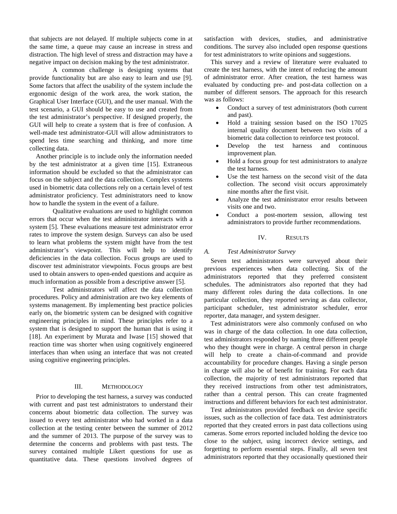that subjects are not delayed. If multiple subjects come in at the same time, a queue may cause an increase in stress and distraction. The high level of stress and distraction may have a negative impact on decision making by the test administrator.

A common challenge is designing systems that provide functionality but are also easy to learn and use [9]. Some factors that affect the usability of the system include the ergonomic design of the work area, the work station, the Graphical User Interface (GUI), and the user manual. With the test scenario, a GUI should be easy to use and created from the test administrator's perspective. If designed properly, the GUI will help to create a system that is free of confusion. A well-made test administrator-GUI will allow administrators to spend less time searching and thinking, and more time collecting data.

Another principle is to include only the information needed by the test administrator at a given time [15]. Extraneous information should be excluded so that the administrator can focus on the subject and the data collection. Complex systems used in biometric data collections rely on a certain level of test administrator proficiency. Test administrators need to know how to handle the system in the event of a failure.

Qualitative evaluations are used to highlight common errors that occur when the test administrator interacts with a system [5]. These evaluations measure test administrator error rates to improve the system design. Surveys can also be used to learn what problems the system might have from the test administrator's viewpoint. This will help to identify deficiencies in the data collection. Focus groups are used to discover test administrator viewpoints. Focus groups are best used to obtain answers to open-ended questions and acquire as much information as possible from a descriptive answer [5].

Test administrators will affect the data collection procedures. Policy and administration are two key elements of systems management. By implementing best practice policies early on, the biometric system can be designed with cognitive engineering principles in mind. These principles refer to a system that is designed to support the human that is using it [18]. An experiment by Murata and Iwase [15] showed that reaction time was shorter when using cognitively engineered interfaces than when using an interface that was not created using cognitive engineering principles.

#### III. METHODOLOGY

Prior to developing the test harness, a survey was conducted with current and past test administrators to understand their concerns about biometric data collection. The survey was issued to every test administrator who had worked in a data collection at the testing center between the summer of 2012 and the summer of 2013. The purpose of the survey was to determine the concerns and problems with past tests. The survey contained multiple Likert questions for use as quantitative data. These questions involved degrees of satisfaction with devices, studies, and administrative conditions. The survey also included open response questions for test administrators to write opinions and suggestions.

This survey and a review of literature were evaluated to create the test harness, with the intent of reducing the amount of administrator error. After creation, the test harness was evaluated by conducting pre- and post-data collection on a number of different sensors. The approach for this research was as follows:

- Conduct a survey of test administrators (both current and past).
- Hold a training session based on the ISO 17025 internal quality document between two visits of a biometric data collection to reinforce test protocol.
- Develop the test harness and continuous improvement plan.
- Hold a focus group for test administrators to analyze the test harness.
- Use the test harness on the second visit of the data collection. The second visit occurs approximately nine months after the first visit.
- Analyze the test administrator error results between visits one and two.
- Conduct a post-mortem session, allowing test administrators to provide further recommendations.

#### IV. RESULTS

#### *A. Test Administrator Survey*

Seven test administrators were surveyed about their previous experiences when data collecting. Six of the administrators reported that they preferred consistent schedules. The administrators also reported that they had many different roles during the data collections. In one particular collection, they reported serving as data collector, participant scheduler, test administrator scheduler, error reporter, data manager, and system designer.

Test administrators were also commonly confused on who was in charge of the data collection. In one data collection, test administrators responded by naming three different people who they thought were in charge. A central person in charge will help to create a chain-of-command and provide accountability for procedure changes. Having a single person in charge will also be of benefit for training. For each data collection, the majority of test administrators reported that they received instructions from other test administrators, rather than a central person. This can create fragmented instructions and different behaviors for each test administrator.

Test administrators provided feedback on device specific issues, such as the collection of face data. Test administrators reported that they created errors in past data collections using cameras. Some errors reported included holding the device too close to the subject, using incorrect device settings, and forgetting to perform essential steps. Finally, all seven test administrators reported that they occasionally questioned their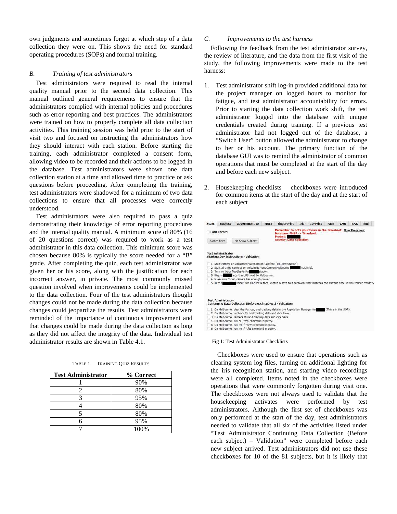own judgments and sometimes forgot at which step of a data collection they were on. This shows the need for standard operating procedures (SOPs) and formal training.

#### *B. Training of test administrators*

Test administrators were required to read the internal quality manual prior to the second data collection. This manual outlined general requirements to ensure that the administrators complied with internal policies and procedures such as error reporting and best practices. The administrators were trained on how to properly complete all data collection activities. This training session was held prior to the start of visit two and focused on instructing the administrators how they should interact with each station. Before starting the training, each administrator completed a consent form, allowing video to be recorded and their actions to be logged in the database. Test administrators were shown one data collection station at a time and allowed time to practice or ask questions before proceeding. After completing the training, test administrators were shadowed for a minimum of two data collections to ensure that all processes were correctly understood.

Test administrators were also required to pass a quiz demonstrating their knowledge of error reporting procedures and the internal quality manual. A minimum score of 80% (16 of 20 questions correct) was required to work as a test administrator in this data collection. This minimum score was chosen because 80% is typically the score needed for a "B" grade. After completing the quiz, each test administrator was given her or his score, along with the justification for each incorrect answer, in private. The most commonly missed question involved when improvements could be implemented to the data collection. Four of the test administrators thought changes could not be made during the data collection because changes could jeopardize the results. Test administrators were reminded of the importance of continuous improvement and that changes could be made during the data collection as long as they did not affect the integrity of the data. Individual test administrator results are shown in Table 4.1.

TABLE 1. TRAINING QUIZ RESULTS

| <b>Test Administrator</b> | % Correct |
|---------------------------|-----------|
|                           | 90%       |
|                           | 80%       |
|                           | 95%       |
|                           | 80%       |
|                           | 80%       |
|                           | 95%       |
|                           | 100%      |

#### *C. Improvements to the test harness*

Following the feedback from the test administrator survey, the review of literature, and the data from the first visit of the study, the following improvements were made to the test harness:

- <span id="page-4-0"></span>1. Test administrator shift log-in provided additional data for the project manager on logged hours to monitor for fatigue, and test administrator accountability for errors. Prior to starting the data collection work shift, the test administrator logged into the database with unique credentials created during training. If a previous test administrator had not logged out of the database, a "Switch User" button allowed the administrator to change to her or his account. The primary function of the database GUI was to remind the administrator of common operations that must be completed at the start of the day and before each new subject.
- 2. Housekeeping checklists checkboxes were introduced for common items at the start of the day and at the start of each subject

| <b>Start</b>                                         | <b>Subject</b>            | <b>Government ID</b>                                                                                                                                                                                                                                                                                                                                                                    | <b>MOET</b> | <b>Fingerprint</b>                                                                                                                         | Iris      | 10-Print | Face | CAR                   | <b>PAR</b> | End |
|------------------------------------------------------|---------------------------|-----------------------------------------------------------------------------------------------------------------------------------------------------------------------------------------------------------------------------------------------------------------------------------------------------------------------------------------------------------------------------------------|-------------|--------------------------------------------------------------------------------------------------------------------------------------------|-----------|----------|------|-----------------------|------------|-----|
| <b>Lock Record</b><br>No-Show Subject<br>Switch User |                           |                                                                                                                                                                                                                                                                                                                                                                                         |             | Remember to note your hours in the Timesheet: New Timesheet<br>Database: FMSP -> Timesheet<br>Project:<br><b>Activity: Data Collection</b> |           |          |      |                       |            |     |
|                                                      | <b>Test Administrator</b> | <b>Starting Day Instructions - Validation</b>                                                                                                                                                                                                                                                                                                                                           |             |                                                                                                                                            |           |          |      |                       |            |     |
|                                                      | 5. Plug in<br>5. In the   | 1. Start camera on Advanced WebCam on Calefete (10-Print Station).<br>2. Start all three cameras on Advanced WebCam on Melbourne<br>3. Turn on both floodights for<br>into the UPS next to Melbourne.<br>4. Make sure Canon camera has enough power.<br>folder, for 10-print & face, create & save to a subfolder that matches the current date, in the format mmddyy                   | station.    |                                                                                                                                            | machine). |          |      |                       |            |     |
|                                                      | <b>Test Administrator</b> | Continuing Data Collection (Before each subject) - Validation                                                                                                                                                                                                                                                                                                                           |             |                                                                                                                                            |           |          |      |                       |            |     |
|                                                      |                           | 1. On Melbourne, clear the fts, csv, and tracking data in the Appiclation Manager for<br>2. On Melbourne, uncheck fts and tracking data and click Save,<br>3. On Melbourne, recheck fts and tracking data and click Save.<br>4. On Melbourne, run cd /tmp command in putty.<br>5. On Melbourne, run rm -f "raw command in putty.<br>6. On Melbourne, run rm -f *, fts command in outty. |             |                                                                                                                                            |           |          |      | (This is in the SOP). |            |     |

#### Fig 1: Test Administrator Checklists

Checkboxes were used to ensure that operations such as clearing system log files, turning on additional lighting for the iris recognition station, and starting video recordings were all completed. Items noted in the checkboxes were operations that were commonly forgotten during visit one. The checkboxes were not always used to validate that the housekeeping activates were performed by test administrators. Although the first set of checkboxes was only performed at the start of the day, test administrators needed to validate that all six of the activities listed under "Test Administrator Continuing Data Collection (Before each subject) – Validation" were completed before each new subject arrived. Test administrators did not use these checkboxes for 10 of the 81 subjects, but it is likely that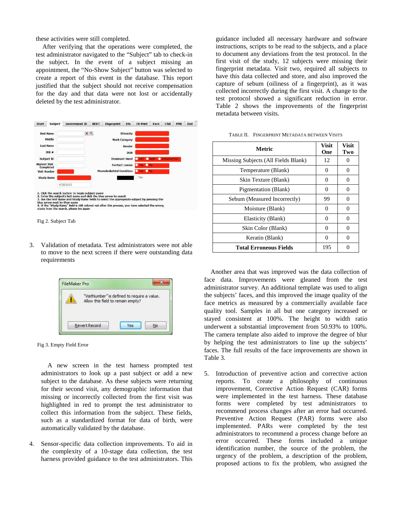these activities were still completed.

After verifying that the operations were completed, the test administrator navigated to the "Subject" tab to check-in the subject. In the event of a subject missing an appointment, the "No-Show Subject" button was selected to create a report of this event in the database. This report justified that the subject should not receive compensation for the day and that data were not lost or accidentally deleted by the test administrator.

<span id="page-5-0"></span>

3. Validation of metadata. Test administrators were not able to move to the next screen if there were outstanding data requirements

| "VisitNumber" is defined to require a value.<br>Allow this field to remain empty? |  |
|-----------------------------------------------------------------------------------|--|
|                                                                                   |  |

Fig 3. Empty Field Error

A new screen in the test harness prompted test administrators to look up a past subject or add a new subject to the database. As these subjects were returning for their second visit, any demographic information that missing or incorrectly collected from the first visit was highlighted in red to prompt the test administrator to collect this information from the subject. These fields, such as a standardized format for data of birth, were automatically validated by the database.

4. Sensor-specific data collection improvements. To aid in the complexity of a 10-stage data collection, the test harness provided guidance to the test administrators. This

guidance included all necessary hardware and software instructions, scripts to be read to the subjects, and a place to document any deviations from the test protocol. In the first visit of the study, 12 subjects were missing their fingerprint metadata. Visit two, required all subjects to have this data collected and store, and also improved the capture of sebum (oiliness of a fingerprint), as it was collected incorrectly during the first visit. A change to the test protocol showed a significant reduction in error. [Table 2](#page-4-0) shows the improvements of the fingerprint metadata between visits.

| <b>Metric</b>                       | Visit<br>One | <b>Visit</b><br>Two |
|-------------------------------------|--------------|---------------------|
| Missing Subjects (All Fields Blank) | 12           |                     |
| Temperature (Blank)                 | 0            | $\theta$            |
| Skin Texture (Blank)                | 0            | 0                   |
| Pigmentation (Blank)                | 0            | $\mathbf{\Omega}$   |
| Sebum (Measured Incorrectly)        | 99           |                     |
| Moisture (Blank)                    | 0            | O                   |
| Elasticity (Blank)                  | 0            | 0                   |
| Skin Color (Blank)                  | 0            |                     |
| Keratin (Blank)                     | 0            |                     |
| <b>Total Erroneous Fields</b>       | 195          |                     |

TABLE II. FINGERPRINT METADATA BETWEEN VISITS

Another area that was improved was the data collection of face data. Improvements were gleaned from the test administrator survey. An additional template was used to align the subjects' faces, and this improved the image quality of the face metrics as measured by a commercially available face quality tool. Samples in all but one category increased or stayed consistent at 100%. The height to width ratio underwent a substantial improvement from 50.93% to 100%. The camera template also aided to improve the degree of blur by helping the test administrators to line up the subjects' faces. The full results of the face improvements are shown in [Table 3.](#page-5-0) 

5. Introduction of preventive action and corrective action reports. To create a philosophy of continuous improvement, Corrective Action Request (CAR) forms were implemented in the test harness. These database forms were completed by test administrators to recommend process changes after an error had occurred. Preventive Action Request (PAR) forms were also implemented. PARs were completed by the test administrators to recommend a process change before an error occurred. These forms included a unique identification number, the source of the problem, the urgency of the problem, a description of the problem, proposed actions to fix the problem, who assigned the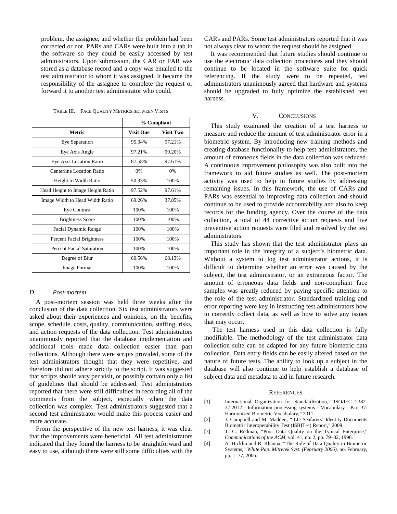problem, the assignee, and whether the problem had been corrected or not. PARs and CARs were built into a tab in the software so they could be easily accessed by test administrators. Upon submission, the CAR or PAR was stored as a database record and a copy was emailed to the test administrator to whom it was assigned. It became the responsibility of the assignee to complete the request or forward it to another test administrator who could.

|                                   | % Compliant      |                  |
|-----------------------------------|------------------|------------------|
| <b>Metric</b>                     | <b>Visit One</b> | <b>Visit Two</b> |
| Eye Separation                    | 95.34%           | 97.21%           |
| Eye Axis Angle                    | 97.21%           | 99.20%           |
| Eye Axis Location Ratio           | 87.58%           | 97.61%           |
| Centerline Location Ratio         | 0%               | 0%               |
| Height to Width Ratio             | 50.93%           | 100%             |
| Head Height to Image Height Ratio | 97.52%           | 97.61%           |
| Image Width to Head Width Ratio   | 69.26%           | 37.85%           |
| <b>Eye Contrast</b>               | 100%             | 100%             |
| <b>Brightness Score</b>           | 100%             | 100%             |
| Facial Dynamic Range              | 100%             | 100%             |
| Percent Facial Brightness         | 100%             | 100%             |
| Percent Facial Saturation         | 100%             | 100%             |
| Degree of Blur                    | 60.56%           | 68.13%           |
| <b>Image Format</b>               | 100%             | 100%             |

TABLE III. FACE QUALITY METRICS BETWEEN VISITS

#### *D. Post-mortem*

A post-mortem session was held three weeks after the conclusion of the data collection. Six test administrators were asked about their experiences and opinions, on the benefits, scope, schedule, costs, quality, communication, staffing, risks, and action requests of the data collection. Test administrators unanimously reported that the database implementation and additional tools made data collection easier than past collections. Although there were scripts provided, some of the test administrators thought that they were repetitive, and therefore did not adhere strictly to the script. It was suggested that scripts should vary per visit, or possibly contain only a list of guidelines that should be addressed. Test administrators reported that there were still difficulties in recording all of the comments from the subject, especially when the data collection was complex. Test administrators suggested that a second test administrator would make this process easier and more accurate.

From the perspective of the new test harness, it was clear that the improvements were beneficial. All test administrators indicated that they found the harness to be straightforward and easy to use, although there were still some difficulties with the

CARs and PARs. Some test administrators reported that it was not always clear to whom the request should be assigned.

It was recommended that future studies should continue to use the electronic data collection procedures and they should continue to be located in the software suite for quick referencing. If the study were to be repeated, test administrators unanimously agreed that hardware and systems should be upgraded to fully optimize the established test harness.

#### V. CONCLUSIONS

This study examined the creation of a test harness to measure and reduce the amount of test administrator error in a biometric system. By introducing new training methods and creating database functionality to help test administrators, the amount of erroneous fields in the data collection was reduced. A continuous improvement philosophy was also built into the framework to aid future studies as well. The post-mortem activity was used to help in future studies by addressing remaining issues. In this framework, the use of CARs and PARs was essential to improving data collection and should continue to be used to provide accountability and also to keep records for the funding agency. Over the course of the data collection, a total of 44 corrective action requests and five preventive action requests were filed and resolved by the test administrators.

This study has shown that the test administrator plays an important role in the integrity of a subject's biometric data. Without a system to log test administrator actions, it is difficult to determine whether an error was caused by the subject, the test administrator, or an extraneous factor. The amount of erroneous data fields and non-compliant face samples was greatly reduced by paying specific attention to the role of the test administrator. Standardized training and error reporting were key in instructing test administrators how to correctly collect data, as well as how to solve any issues that may occur.

The test harness used in this data collection is fully modifiable. The methodology of the test administrator data collection suite can be adapted for any future biometric data collection. Data entry fields can be easily altered based on the nature of future tests. The ability to look up a subject in the database will also continue to help establish a database of subject data and metadata to aid in future research.

#### **REFERENCES**

- [1] International Organization for Standardization, "ISO/IEC 2382- 37:2012 - Information processing systems - Vocabulary - Part 37: Harmonized Biometric Vocabulary," 2011.
- [2] J. Campbell and M. Madden, "ILO Seafarers' Identity Documents Biometric Interoperability Test (ISBIT-4) Report," 2009.
- [3] T. C. Redman, "Poor Data Quality on the Typical Enterprise," *Communications of the ACM*, vol. 41, no. 2, pp. 79–82, 1998.
- [4] A. Hicklin and R. Khanna, "The Role of Data Quality in Biometric Systems," *White Pap. Mitretek Syst. (February 2006)*, no. February, pp. 1–77, 2006.